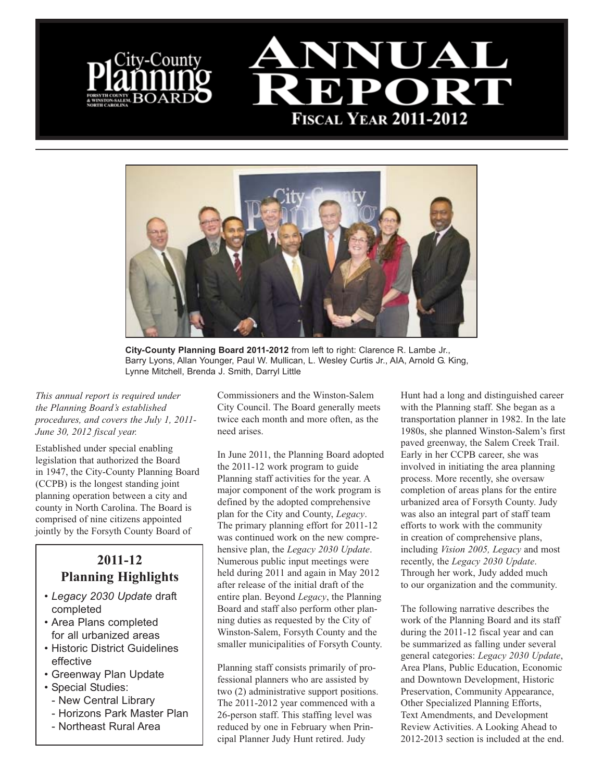



**City-County Planning Board 2011-2012** from left to right: Clarence R. Lambe Jr., Barry Lyons, Allan Younger, Paul W. Mullican, L. Wesley Curtis Jr., AIA, Arnold G. King, Lynne Mitchell, Brenda J. Smith, Darryl Little

*This annual report is required under the Planning Board's established procedures, and covers the July 1, 2011- June 30, 2012 fiscal year.* 

Established under special enabling legislation that authorized the Board in 1947, the City-County Planning Board (CCPB) is the longest standing joint planning operation between a city and county in North Carolina. The Board is comprised of nine citizens appointed jointly by the Forsyth County Board of

# **2011-12 Planning Highlights**

- *Legacy 2030 Update* draft completed
- Area Plans completed for all urbanized areas
- Historic District Guidelines effective
- Greenway Plan Update
- Special Studies:
- New Central Library
- Horizons Park Master Plan
- Northeast Rural Area

Commissioners and the Winston-Salem City Council. The Board generally meets twice each month and more often, as the need arises.

In June 2011, the Planning Board adopted the 2011-12 work program to guide Planning staff activities for the year. A major component of the work program is defined by the adopted comprehensive plan for the City and County, *Legacy*. The primary planning effort for 2011-12 was continued work on the new comprehensive plan, the *Legacy 2030 Update*. Numerous public input meetings were held during 2011 and again in May 2012 after release of the initial draft of the entire plan. Beyond *Legacy*, the Planning Board and staff also perform other planning duties as requested by the City of Winston-Salem, Forsyth County and the smaller municipalities of Forsyth County.

Planning staff consists primarily of professional planners who are assisted by two (2) administrative support positions. The 2011-2012 year commenced with a 26-person staff. This staffing level was reduced by one in February when Principal Planner Judy Hunt retired. Judy

Hunt had a long and distinguished career with the Planning staff. She began as a transportation planner in 1982. In the late 1980s, she planned Winston-Salem's first paved greenway, the Salem Creek Trail. Early in her CCPB career, she was involved in initiating the area planning process. More recently, she oversaw completion of areas plans for the entire urbanized area of Forsyth County. Judy was also an integral part of staff team efforts to work with the community in creation of comprehensive plans, including *Vision 2005, Legacy* and most recently, the *Legacy 2030 Update*. Through her work, Judy added much to our organization and the community.

The following narrative describes the work of the Planning Board and its staff during the 2011-12 fiscal year and can be summarized as falling under several general categories: *Legacy 2030 Update*, Area Plans, Public Education, Economic and Downtown Development, Historic Preservation, Community Appearance, Other Specialized Planning Efforts, Text Amendments, and Development Review Activities. A Looking Ahead to 2012-2013 section is included at the end.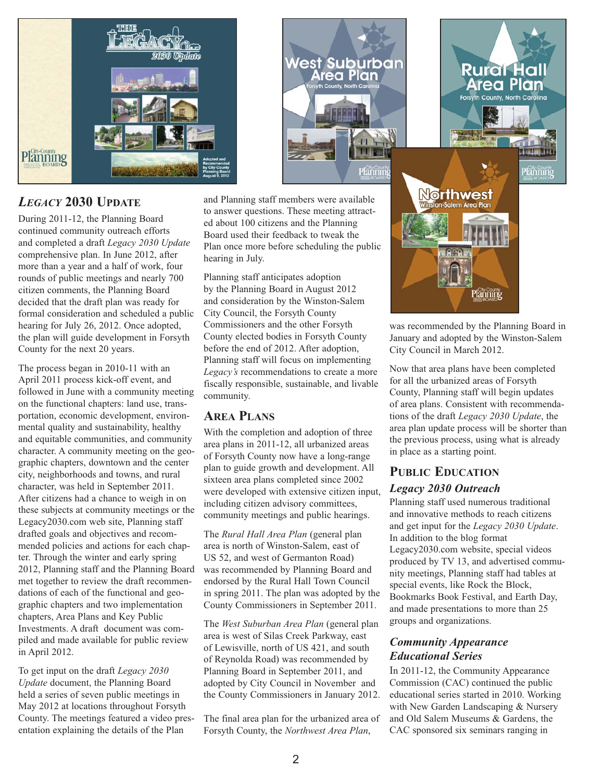

## *LEGACY* **2030 UPDATE**

During 2011-12, the Planning Board continued community outreach efforts and completed a draft *Legacy 2030 Update* comprehensive plan. In June 2012, after more than a year and a half of work, four rounds of public meetings and nearly 700 citizen comments, the Planning Board decided that the draft plan was ready for formal consideration and scheduled a public hearing for July 26, 2012. Once adopted, the plan will guide development in Forsyth County for the next 20 years.

The process began in 2010-11 with an April 2011 process kick-off event, and followed in June with a community meeting on the functional chapters: land use, transportation, economic development, environmental quality and sustainability, healthy and equitable communities, and community character. A community meeting on the geographic chapters, downtown and the center city, neighborhoods and towns, and rural character, was held in September 2011. After citizens had a chance to weigh in on these subjects at community meetings or the Legacy2030.com web site, Planning staff drafted goals and objectives and recommended policies and actions for each chapter. Through the winter and early spring 2012, Planning staff and the Planning Board met together to review the draft recommendations of each of the functional and geographic chapters and two implementation chapters, Area Plans and Key Public Investments. A draft document was compiled and made available for public review in April 2012.

To get input on the draft *Legacy 2030 Update* document, the Planning Board held a series of seven public meetings in May 2012 at locations throughout Forsyth County. The meetings featured a video presentation explaining the details of the Plan



and Planning staff members were available to answer questions. These meeting attracted about 100 citizens and the Planning Board used their feedback to tweak the Plan once more before scheduling the public hearing in July.

Planning staff anticipates adoption by the Planning Board in August 2012 and consideration by the Winston-Salem City Council, the Forsyth County Commissioners and the other Forsyth County elected bodies in Forsyth County before the end of 2012. After adoption, Planning staff will focus on implementing *Legacy's* recommendations to create a more fiscally responsible, sustainable, and livable community.

### **AREA PLANS**

With the completion and adoption of three area plans in 2011-12, all urbanized areas of Forsyth County now have a long-range plan to guide growth and development. All sixteen area plans completed since 2002 were developed with extensive citizen input, including citizen advisory committees, community meetings and public hearings.

The *Rural Hall Area Plan* (general plan area is north of Winston-Salem, east of US 52, and west of Germanton Road) was recommended by Planning Board and endorsed by the Rural Hall Town Council in spring 2011. The plan was adopted by the County Commissioners in September 2011.

The *West Suburban Area Plan* (general plan area is west of Silas Creek Parkway, east of Lewisville, north of US 421, and south of Reynolda Road) was recommended by Planning Board in September 2011, and adopted by City Council in November and the County Commissioners in January 2012.

The final area plan for the urbanized area of Forsyth County, the *Northwest Area Plan*,



was recommended by the Planning Board in January and adopted by the Winston-Salem City Council in March 2012.

Now that area plans have been completed for all the urbanized areas of Forsyth County, Planning staff will begin updates of area plans. Consistent with recommendations of the draft *Legacy 2030 Update*, the area plan update process will be shorter than the previous process, using what is already in place as a starting point.

### **PUBLIC EDUCATION**

#### *Legacy 2030 Outreach*

Planning staff used numerous traditional and innovative methods to reach citizens and get input for the *Legacy 2030 Update*. In addition to the blog format Legacy2030.com website, special videos produced by TV 13, and advertised community meetings, Planning staff had tables at special events, like Rock the Block, Bookmarks Book Festival, and Earth Day, and made presentations to more than 25 groups and organizations.

### *Community Appearance Educational Series*

In 2011-12, the Community Appearance Commission (CAC) continued the public educational series started in 2010. Working with New Garden Landscaping & Nursery and Old Salem Museums & Gardens, the CAC sponsored six seminars ranging in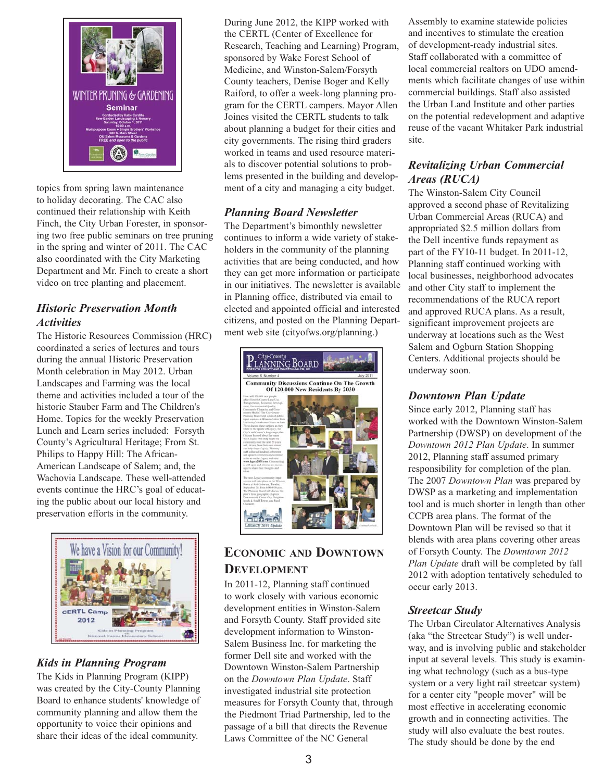

topics from spring lawn maintenance to holiday decorating. The CAC also continued their relationship with Keith Finch, the City Urban Forester, in sponsoring two free public seminars on tree pruning in the spring and winter of 2011. The CAC also coordinated with the City Marketing Department and Mr. Finch to create a short video on tree planting and placement.

### *Historic Preservation Month Activities*

The Historic Resources Commission (HRC) coordinated a series of lectures and tours during the annual Historic Preservation Month celebration in May 2012. Urban Landscapes and Farming was the local theme and activities included a tour of the historic Stauber Farm and The Children's Home. Topics for the weekly Preservation Lunch and Learn series included: Forsyth County's Agricultural Heritage; From St. Philips to Happy Hill: The African-American Landscape of Salem; and, the Wachovia Landscape. These well-attended events continue the HRC's goal of educating the public about our local history and preservation efforts in the community.



### *Kids in Planning Program*

The Kids in Planning Program (KIPP) was created by the City-County Planning Board to enhance students' knowledge of community planning and allow them the opportunity to voice their opinions and share their ideas of the ideal community.

During June 2012, the KIPP worked with the CERTL (Center of Excellence for Research, Teaching and Learning) Program, sponsored by Wake Forest School of Medicine, and Winston-Salem/Forsyth County teachers, Denise Boger and Kelly Raiford, to offer a week-long planning program for the CERTL campers. Mayor Allen Joines visited the CERTL students to talk about planning a budget for their cities and city governments. The rising third graders worked in teams and used resource materials to discover potential solutions to problems presented in the building and development of a city and managing a city budget.

#### *Planning Board Newsletter*

The Department's bimonthly newsletter continues to inform a wide variety of stakeholders in the community of the planning activities that are being conducted, and how they can get more information or participate in our initiatives. The newsletter is available in Planning office, distributed via email to elected and appointed official and interested citizens, and posted on the Planning Department web site (cityofws.org/planning.)



# **ECONOMIC AND DOWNTOWN DEVELOPMENT**

In 2011-12, Planning staff continued to work closely with various economic development entities in Winston-Salem and Forsyth County. Staff provided site development information to Winston-Salem Business Inc. for marketing the former Dell site and worked with the Downtown Winston-Salem Partnership on the *Downtown Plan Update*. Staff investigated industrial site protection measures for Forsyth County that, through the Piedmont Triad Partnership, led to the passage of a bill that directs the Revenue Laws Committee of the NC General

Assembly to examine statewide policies and incentives to stimulate the creation of development-ready industrial sites. Staff collaborated with a committee of local commercial realtors on UDO amendments which facilitate changes of use within commercial buildings. Staff also assisted the Urban Land Institute and other parties on the potential redevelopment and adaptive reuse of the vacant Whitaker Park industrial site.

### *Revitalizing Urban Commercial Areas (RUCA)*

The Winston-Salem City Council approved a second phase of Revitalizing Urban Commercial Areas (RUCA) and appropriated \$2.5 million dollars from the Dell incentive funds repayment as part of the FY10-11 budget. In 2011-12, Planning staff continued working with local businesses, neighborhood advocates and other City staff to implement the recommendations of the RUCA report and approved RUCA plans. As a result, significant improvement projects are underway at locations such as the West Salem and Ogburn Station Shopping Centers. Additional projects should be underway soon.

#### *Downtown Plan Update*

Since early 2012, Planning staff has worked with the Downtown Winston-Salem Partnership (DWSP) on development of the *Downtown 2012 Plan Update*. In summer 2012, Planning staff assumed primary responsibility for completion of the plan. The 2007 *Downtown Plan* was prepared by DWSP as a marketing and implementation tool and is much shorter in length than other CCPB area plans. The format of the Downtown Plan will be revised so that it blends with area plans covering other areas of Forsyth County. The *Downtown 2012 Plan Update* draft will be completed by fall 2012 with adoption tentatively scheduled to occur early 2013.

### *Streetcar Study*

The Urban Circulator Alternatives Analysis (aka "the Streetcar Study") is well underway, and is involving public and stakeholder input at several levels. This study is examining what technology (such as a bus-type system or a very light rail streetcar system) for a center city "people mover" will be most effective in accelerating economic growth and in connecting activities. The study will also evaluate the best routes. The study should be done by the end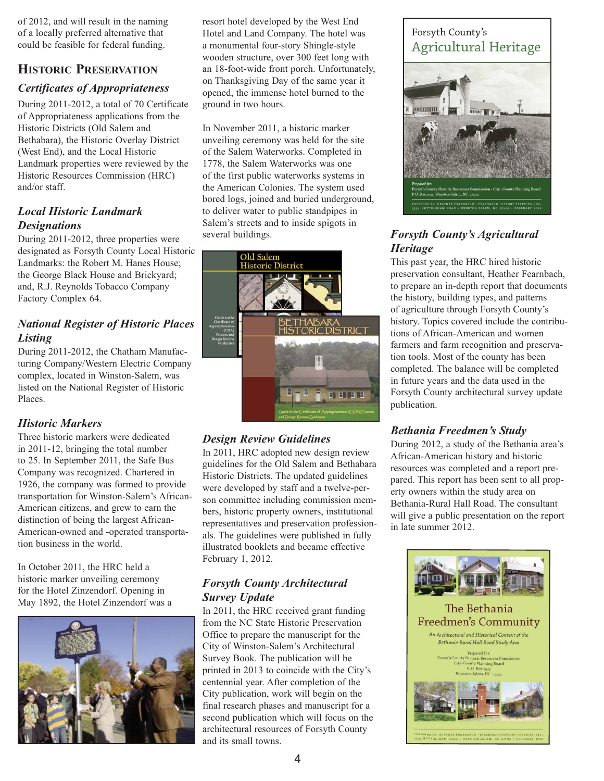of 2012, and will result in the naming of a locally preferred alternative that could be feasible for federal funding.

# **HISTORIC PRESERVATION**

### *Certificates of Appropriateness*

During 2011-2012, a total of 70 Certificate of Appropriateness applications from the Historic Districts (Old Salem and Bethabara), the Historic Overlay District (West End), and the Local Historic Landmark properties were reviewed by the Historic Resources Commission (HRC) and/or staff.

### *Local Historic Landmark Designations*

During 2011-2012, three properties were designated as Forsyth County Local Historic Landmarks: the Robert M. Hanes House; the George Black House and Brickyard; and, R.J. Reynolds Tobacco Company Factory Complex 64.

### *National Register of Historic Places Listing*

During 2011-2012, the Chatham Manufacturing Company/Western Electric Company complex, located in Winston-Salem, was listed on the National Register of Historic Places.

### *Historic Markers*

Three historic markers were dedicated in 2011-12, bringing the total number to 25. In September 2011, the Safe Bus Company was recognized. Chartered in 1926, the company was formed to provide transportation for Winston-Salem's African-American citizens, and grew to earn the distinction of being the largest African-American-owned and -operated transportation business in the world.

In October 2011, the HRC held a historic marker unveiling ceremony for the Hotel Zinzendorf. Opening in May 1892, the Hotel Zinzendorf was a



resort hotel developed by the West End Hotel and Land Company. The hotel was a monumental four-story Shingle-style wooden structure, over 300 feet long with an 18-foot-wide front porch. Unfortunately, on Thanksgiving Day of the same year it opened, the immense hotel burned to the ground in two hours.

In November 2011, a historic marker unveiling ceremony was held for the site of the Salem Waterworks. Completed in 1778, the Salem Waterworks was one of the first public waterworks systems in the American Colonies. The system used bored logs, joined and buried underground, to deliver water to public standpipes in Salem's streets and to inside spigots in several buildings.



# *Design Review Guidelines*

In 2011, HRC adopted new design review guidelines for the Old Salem and Bethabara Historic Districts. The updated guidelines were developed by staff and a twelve-person committee including commission members, historic property owners, institutional representatives and preservation professionals. The guidelines were published in fully illustrated booklets and became effective February 1, 2012.

### *Forsyth County Architectural Survey Update*

In 2011, the HRC received grant funding from the NC State Historic Preservation Office to prepare the manuscript for the City of Winston-Salem's Architectural Survey Book. The publication will be printed in 2013 to coincide with the City's centennial year. After completion of the City publication, work will begin on the final research phases and manuscript for a second publication which will focus on the architectural resources of Forsyth County and its small towns.

# Forsyth County's Agricultural Heritage



## *Forsyth County's Agricultural Heritage*

This past year, the HRC hired historic preservation consultant, Heather Fearnbach, to prepare an in-depth report that documents the history, building types, and patterns of agriculture through Forsyth County's history. Topics covered include the contributions of African-American and women farmers and farm recognition and preservation tools. Most of the county has been completed. The balance will be completed in future years and the data used in the Forsyth County architectural survey update publication.

### *Bethania Freedmen's Study*

During 2012, a study of the Bethania area's African-American history and historic resources was completed and a report prepared. This report has been sent to all property owners within the study area on Bethania-Rural Hall Road. The consultant will give a public presentation on the report in late summer 2012.

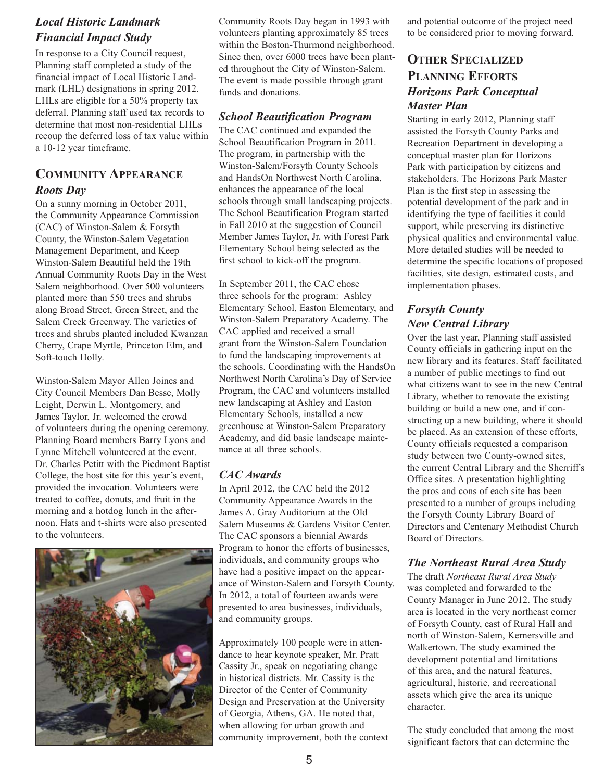# *Local Historic Landmark Financial Impact Study*

In response to a City Council request, Planning staff completed a study of the financial impact of Local Historic Landmark (LHL) designations in spring 2012. LHLs are eligible for a 50% property tax deferral. Planning staff used tax records to determine that most non-residential LHLs recoup the deferred loss of tax value within a 10-12 year timeframe.

# **COMMUNITY APPEARANCE** *Roots Day*

On a sunny morning in October 2011, the Community Appearance Commission (CAC) of Winston-Salem & Forsyth County, the Winston-Salem Vegetation Management Department, and Keep Winston-Salem Beautiful held the 19th Annual Community Roots Day in the West Salem neighborhood. Over 500 volunteers planted more than 550 trees and shrubs along Broad Street, Green Street, and the Salem Creek Greenway. The varieties of trees and shrubs planted included Kwanzan Cherry, Crape Myrtle, Princeton Elm, and Soft-touch Holly.

Winston-Salem Mayor Allen Joines and City Council Members Dan Besse, Molly Leight, Derwin L. Montgomery, and James Taylor, Jr. welcomed the crowd of volunteers during the opening ceremony. Planning Board members Barry Lyons and Lynne Mitchell volunteered at the event. Dr. Charles Petitt with the Piedmont Baptist College, the host site for this year's event, provided the invocation. Volunteers were treated to coffee, donuts, and fruit in the morning and a hotdog lunch in the afternoon. Hats and t-shirts were also presented to the volunteers.



Community Roots Day began in 1993 with volunteers planting approximately 85 trees within the Boston-Thurmond neighborhood. Since then, over 6000 trees have been planted throughout the City of Winston-Salem. The event is made possible through grant funds and donations.

#### *School Beautification Program*

The CAC continued and expanded the School Beautification Program in 2011. The program, in partnership with the Winston-Salem/Forsyth County Schools and HandsOn Northwest North Carolina, enhances the appearance of the local schools through small landscaping projects. The School Beautification Program started in Fall 2010 at the suggestion of Council Member James Taylor, Jr. with Forest Park Elementary School being selected as the first school to kick-off the program.

In September 2011, the CAC chose three schools for the program: Ashley Elementary School, Easton Elementary, and Winston-Salem Preparatory Academy. The CAC applied and received a small grant from the Winston-Salem Foundation to fund the landscaping improvements at the schools. Coordinating with the HandsOn Northwest North Carolina's Day of Service Program, the CAC and volunteers installed new landscaping at Ashley and Easton Elementary Schools, installed a new greenhouse at Winston-Salem Preparatory Academy, and did basic landscape maintenance at all three schools.

### *CAC Awards*

In April 2012, the CAC held the 2012 Community Appearance Awards in the James A. Gray Auditorium at the Old Salem Museums & Gardens Visitor Center. The CAC sponsors a biennial Awards Program to honor the efforts of businesses, individuals, and community groups who have had a positive impact on the appearance of Winston-Salem and Forsyth County. In 2012, a total of fourteen awards were presented to area businesses, individuals, and community groups.

Approximately 100 people were in attendance to hear keynote speaker, Mr. Pratt Cassity Jr., speak on negotiating change in historical districts. Mr. Cassity is the Director of the Center of Community Design and Preservation at the University of Georgia, Athens, GA. He noted that, when allowing for urban growth and community improvement, both the context

and potential outcome of the project need to be considered prior to moving forward.

## **OTHER SPECIALIZED PLANNING EFFORTS** *Horizons Park Conceptual Master Plan*

Starting in early 2012, Planning staff assisted the Forsyth County Parks and Recreation Department in developing a conceptual master plan for Horizons Park with participation by citizens and stakeholders. The Horizons Park Master Plan is the first step in assessing the potential development of the park and in identifying the type of facilities it could support, while preserving its distinctive physical qualities and environmental value. More detailed studies will be needed to determine the specific locations of proposed facilities, site design, estimated costs, and implementation phases.

### *Forsyth County New Central Library*

Over the last year, Planning staff assisted County officials in gathering input on the new library and its features. Staff facilitated a number of public meetings to find out what citizens want to see in the new Central Library, whether to renovate the existing building or build a new one, and if constructing up a new building, where it should be placed. As an extension of these efforts, County officials requested a comparison study between two County-owned sites, the current Central Library and the Sherriff's Office sites. A presentation highlighting the pros and cons of each site has been presented to a number of groups including the Forsyth County Library Board of Directors and Centenary Methodist Church Board of Directors.

### *The Northeast Rural Area Study*

The draft *Northeast Rural Area Study* was completed and forwarded to the County Manager in June 2012. The study area is located in the very northeast corner of Forsyth County, east of Rural Hall and north of Winston-Salem, Kernersville and Walkertown. The study examined the development potential and limitations of this area, and the natural features, agricultural, historic, and recreational assets which give the area its unique character.

The study concluded that among the most significant factors that can determine the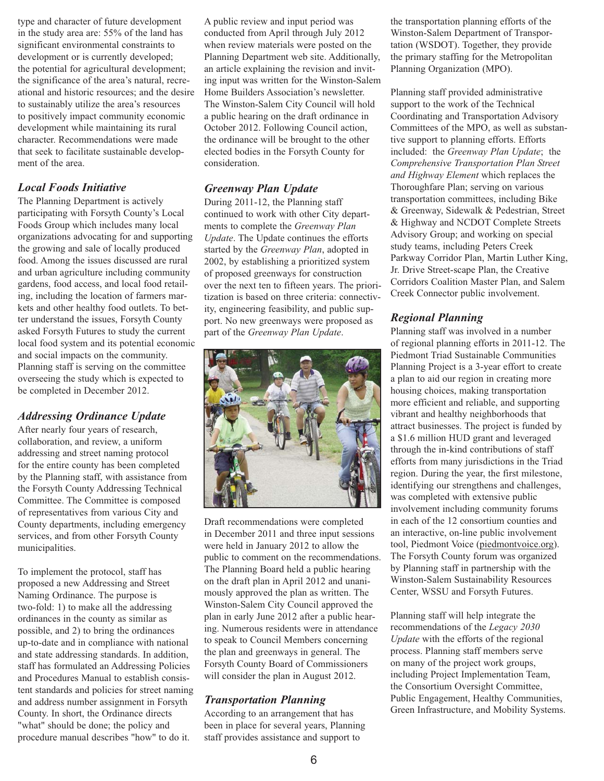type and character of future development in the study area are: 55% of the land has significant environmental constraints to development or is currently developed; the potential for agricultural development; the significance of the area's natural, recreational and historic resources; and the desire to sustainably utilize the area's resources to positively impact community economic development while maintaining its rural character. Recommendations were made that seek to facilitate sustainable development of the area.

#### *Local Foods Initiative*

The Planning Department is actively participating with Forsyth County's Local Foods Group which includes many local organizations advocating for and supporting the growing and sale of locally produced food. Among the issues discussed are rural and urban agriculture including community gardens, food access, and local food retailing, including the location of farmers markets and other healthy food outlets. To better understand the issues, Forsyth County asked Forsyth Futures to study the current local food system and its potential economic and social impacts on the community. Planning staff is serving on the committee overseeing the study which is expected to be completed in December 2012.

#### *Addressing Ordinance Update*

After nearly four years of research, collaboration, and review, a uniform addressing and street naming protocol for the entire county has been completed by the Planning staff, with assistance from the Forsyth County Addressing Technical Committee. The Committee is composed of representatives from various City and County departments, including emergency services, and from other Forsyth County municipalities.

To implement the protocol, staff has proposed a new Addressing and Street Naming Ordinance. The purpose is two-fold: 1) to make all the addressing ordinances in the county as similar as possible, and 2) to bring the ordinances up-to-date and in compliance with national and state addressing standards. In addition, staff has formulated an Addressing Policies and Procedures Manual to establish consistent standards and policies for street naming and address number assignment in Forsyth County. In short, the Ordinance directs "what" should be done; the policy and procedure manual describes "how" to do it.

A public review and input period was conducted from April through July 2012 when review materials were posted on the Planning Department web site. Additionally, an article explaining the revision and inviting input was written for the Winston-Salem Home Builders Association's newsletter. The Winston-Salem City Council will hold a public hearing on the draft ordinance in October 2012. Following Council action, the ordinance will be brought to the other elected bodies in the Forsyth County for consideration.

#### *Greenway Plan Update*

During 2011-12, the Planning staff continued to work with other City departments to complete the *Greenway Plan Update*. The Update continues the efforts started by the *Greenway Plan*, adopted in 2002, by establishing a prioritized system of proposed greenways for construction over the next ten to fifteen years. The prioritization is based on three criteria: connectivity, engineering feasibility, and public support. No new greenways were proposed as part of the *Greenway Plan Update*.



Draft recommendations were completed in December 2011 and three input sessions were held in January 2012 to allow the public to comment on the recommendations. The Planning Board held a public hearing on the draft plan in April 2012 and unanimously approved the plan as written. The Winston-Salem City Council approved the plan in early June 2012 after a public hearing. Numerous residents were in attendance to speak to Council Members concerning the plan and greenways in general. The Forsyth County Board of Commissioners will consider the plan in August 2012.

#### *Transportation Planning*

According to an arrangement that has been in place for several years, Planning staff provides assistance and support to

the transportation planning efforts of the Winston-Salem Department of Transportation (WSDOT). Together, they provide the primary staffing for the Metropolitan Planning Organization (MPO).

Planning staff provided administrative support to the work of the Technical Coordinating and Transportation Advisory Committees of the MPO, as well as substantive support to planning efforts. Efforts included: the *Greenway Plan Update*; the *Comprehensive Transportation Plan Street and Highway Element* which replaces the Thoroughfare Plan; serving on various transportation committees, including Bike & Greenway, Sidewalk & Pedestrian, Street & Highway and NCDOT Complete Streets Advisory Group; and working on special study teams, including Peters Creek Parkway Corridor Plan, Martin Luther King, Jr. Drive Street-scape Plan, the Creative Corridors Coalition Master Plan, and Salem Creek Connector public involvement.

#### *Regional Planning*

Planning staff was involved in a number of regional planning efforts in 2011-12. The Piedmont Triad Sustainable Communities Planning Project is a 3-year effort to create a plan to aid our region in creating more housing choices, making transportation more efficient and reliable, and supporting vibrant and healthy neighborhoods that attract businesses. The project is funded by a \$1.6 million HUD grant and leveraged through the in-kind contributions of staff efforts from many jurisdictions in the Triad region. During the year, the first milestone, identifying our strengthens and challenges, was completed with extensive public involvement including community forums in each of the 12 consortium counties and an interactive, on-line public involvement tool, Piedmont Voice (piedmontvoice.org). The Forsyth County forum was organized by Planning staff in partnership with the Winston-Salem Sustainability Resources Center, WSSU and Forsyth Futures.

Planning staff will help integrate the recommendations of the *Legacy 2030 Update* with the efforts of the regional process. Planning staff members serve on many of the project work groups, including Project Implementation Team, the Consortium Oversight Committee, Public Engagement, Healthy Communities, Green Infrastructure, and Mobility Systems.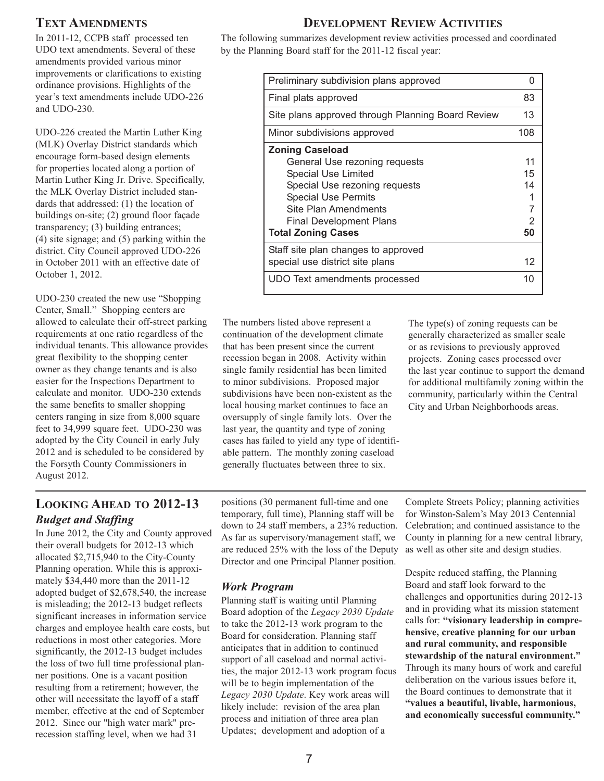### **TEXT AMENDMENTS**

In 2011-12, CCPB staff processed ten UDO text amendments. Several of these amendments provided various minor improvements or clarifications to existing ordinance provisions. Highlights of the year's text amendments include UDO-226 and UDO-230.

UDO-226 created the Martin Luther King (MLK) Overlay District standards which encourage form-based design elements for properties located along a portion of Martin Luther King Jr. Drive. Specifically, the MLK Overlay District included standards that addressed: (1) the location of buildings on-site; (2) ground floor façade transparency; (3) building entrances; (4) site signage; and (5) parking within the district. City Council approved UDO-226 in October 2011 with an effective date of October 1, 2012.

UDO-230 created the new use "Shopping Center, Small." Shopping centers are allowed to calculate their off-street parking requirements at one ratio regardless of the individual tenants. This allowance provides great flexibility to the shopping center owner as they change tenants and is also easier for the Inspections Department to calculate and monitor. UDO-230 extends the same benefits to smaller shopping centers ranging in size from 8,000 square feet to 34,999 square feet. UDO-230 was adopted by the City Council in early July 2012 and is scheduled to be considered by the Forsyth County Commissioners in August 2012.

#### **DEVELOPMENT REVIEW ACTIVITIES**

The following summarizes development review activities processed and coordinated by the Planning Board staff for the 2011-12 fiscal year:

| Preliminary subdivision plans approved            | 0   |
|---------------------------------------------------|-----|
| Final plats approved                              | 83  |
| Site plans approved through Planning Board Review | 13  |
| Minor subdivisions approved                       | 108 |
| <b>Zoning Caseload</b>                            |     |
| General Use rezoning requests                     | 11  |
| Special Use Limited                               | 15  |
| Special Use rezoning requests                     | 14  |
| <b>Special Use Permits</b>                        |     |
| <b>Site Plan Amendments</b>                       |     |
| <b>Final Development Plans</b>                    | 2   |
| <b>Total Zoning Cases</b>                         | 50  |
| Staff site plan changes to approved               |     |
| special use district site plans                   | 12  |
| UDO Text amendments processed                     | 10  |

The numbers listed above represent a continuation of the development climate that has been present since the current recession began in 2008. Activity within single family residential has been limited to minor subdivisions. Proposed major subdivisions have been non-existent as the local housing market continues to face an oversupply of single family lots. Over the last year, the quantity and type of zoning cases has failed to yield any type of identifiable pattern. The monthly zoning caseload generally fluctuates between three to six.

The type(s) of zoning requests can be generally characterized as smaller scale or as revisions to previously approved projects. Zoning cases processed over the last year continue to support the demand for additional multifamily zoning within the community, particularly within the Central City and Urban Neighborhoods areas.

# **LOOKING AHEAD TO 2012-13** *Budget and Staffing*

In June 2012, the City and County approved their overall budgets for 2012-13 which allocated \$2,715,940 to the City-County Planning operation. While this is approximately \$34,440 more than the 2011-12 adopted budget of \$2,678,540, the increase is misleading; the 2012-13 budget reflects significant increases in information service charges and employee health care costs, but reductions in most other categories. More significantly, the 2012-13 budget includes the loss of two full time professional planner positions. One is a vacant position resulting from a retirement; however, the other will necessitate the layoff of a staff member, effective at the end of September 2012. Since our "high water mark" prerecession staffing level, when we had 31

positions (30 permanent full-time and one temporary, full time), Planning staff will be down to 24 staff members, a 23% reduction. As far as supervisory/management staff, we are reduced 25% with the loss of the Deputy Director and one Principal Planner position.

### *Work Program*

Planning staff is waiting until Planning Board adoption of the *Legacy 2030 Update* to take the 2012-13 work program to the Board for consideration. Planning staff anticipates that in addition to continued support of all caseload and normal activities, the major 2012-13 work program focus will be to begin implementation of the *Legacy 2030 Update*. Key work areas will likely include: revision of the area plan process and initiation of three area plan Updates; development and adoption of a

Complete Streets Policy; planning activities for Winston-Salem's May 2013 Centennial Celebration; and continued assistance to the County in planning for a new central library, as well as other site and design studies.

Despite reduced staffing, the Planning Board and staff look forward to the challenges and opportunities during 2012-13 and in providing what its mission statement calls for: **"visionary leadership in comprehensive, creative planning for our urban and rural community, and responsible stewardship of the natural environment."** Through its many hours of work and careful deliberation on the various issues before it, the Board continues to demonstrate that it **"values a beautiful, livable, harmonious, and economically successful community."**